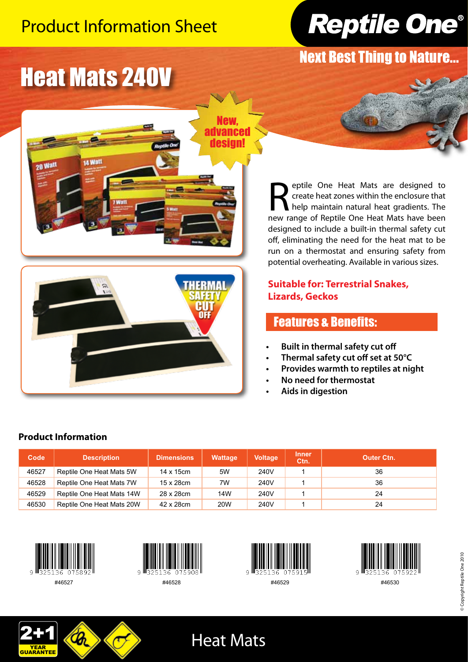## Product Information Sheet



Next Best Thing to Nature...

# Heat Mats 240V





**Reptile One Heat Mats are designed to create heat zones within the enclosure that help maintain natural heat gradients. The new range of Reptile One Heat Mats have been** create heat zones within the enclosure that help maintain natural heat gradients. The new range of Reptile One Heat Mats have been designed to include a built-in thermal safety cut off, eliminating the need for the heat mat to be run on a thermostat and ensuring safety from potential overheating. Available in various sizes.

### **Suitable for: Terrestrial Snakes, Lizards, Geckos**

## Features & Benefits:

- **• Built in thermal safety cut off**
- **• Thermal safety cut off set at 50°C**
- **Provides** warmth to reptiles at night
- **• No need for thermostat**
- **Aids** in digestion

#### **Code Description Dimensions Wattage Voltage Inner Outer Ctn.** 46527 Reptile One Heat Mats 5W 14 x 15cm 5W 240V 1 46528 Reptile One Heat Mats 7W 15 x 28cm 7W 240V 1 46529 Reptile One Heat Mats 14W 28 x 28cm 14W 240V 1 1 240V

46530 Reptile One Heat Mats 20W 42 x 28cm 20W 240V 1 1 24



**Product Information**













Heat Mats